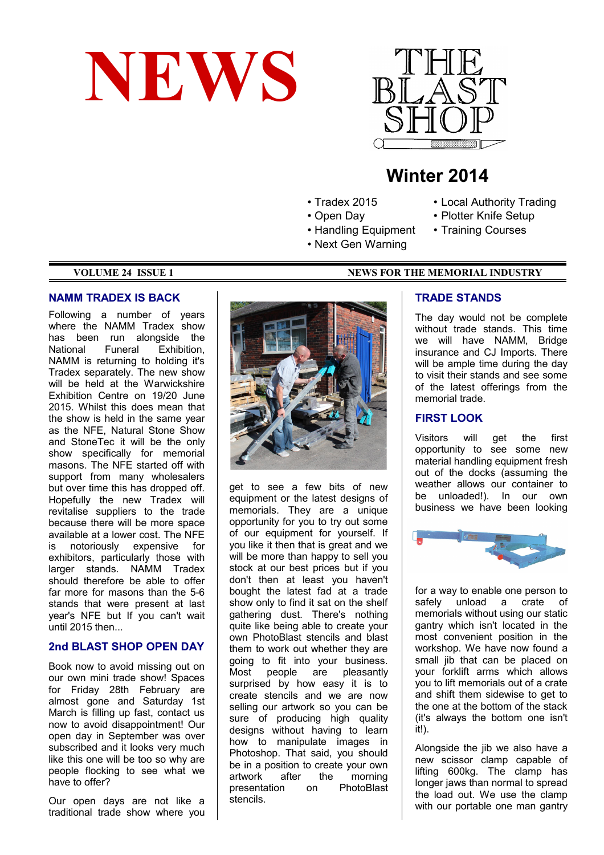



# **Winter 2014**

- Tradex 2015
- Open Day
- Handling Equipment
- Next Gen Warning

#### **VOLUME 24 ISSUE 1 NEWS FOR THE MEMORIAL INDUSTRY**

#### **NAMM TRADEX IS BACK**

Following a number of years where the NAMM Tradex show has been run alongside the National Funeral Exhibition, NAMM is returning to holding it's Tradex separately. The new show will be held at the Warwickshire Exhibition Centre on 19/20 June 2015. Whilst this does mean that the show is held in the same year as the NFE, Natural Stone Show and StoneTec it will be the only show specifically for memorial masons. The NFE started off with support from many wholesalers but over time this has dropped off. Hopefully the new Tradex will revitalise suppliers to the trade because there will be more space available at a lower cost. The NFE is notoriously expensive for exhibitors, particularly those with larger stands. NAMM Tradex should therefore be able to offer far more for masons than the 5-6 stands that were present at last year's NFE but If you can't wait until 2015 then...

#### **2nd BLAST SHOP OPEN DAY**

Book now to avoid missing out on our own mini trade show! Spaces for Friday 28th February are almost gone and Saturday 1st March is filling up fast, contact us now to avoid disappointment! Our open day in September was over subscribed and it looks very much like this one will be too so why are people flocking to see what we have to offer?

Our open days are not like a traditional trade show where you



get to see a few bits of new equipment or the latest designs of memorials. They are a unique opportunity for you to try out some of our equipment for yourself. If you like it then that is great and we will be more than happy to sell you stock at our best prices but if you don't then at least you haven't bought the latest fad at a trade show only to find it sat on the shelf gathering dust. There's nothing quite like being able to create your own PhotoBlast stencils and blast them to work out whether they are going to fit into your business. Most people are pleasantly surprised by how easy it is to create stencils and we are now selling our artwork so you can be sure of producing high quality designs without having to learn how to manipulate images in Photoshop. That said, you should be in a position to create your own artwork after the morning presentation on PhotoBlast stencils.

#### **TRADE STANDS**

The day would not be complete without trade stands. This time we will have NAMM, Bridge insurance and CJ Imports. There will be ample time during the day to visit their stands and see some of the latest offerings from the memorial trade.

• Local Authority Trading • Plotter Knife Setup • Training Courses

### **FIRST LOOK**

Visitors will get the first opportunity to see some new material handling equipment fresh out of the docks (assuming the weather allows our container to be unloaded!). In our own business we have been looking



for a way to enable one person to safely unload a crate of memorials without using our static gantry which isn't located in the most convenient position in the workshop. We have now found a small jib that can be placed on your forklift arms which allows you to lift memorials out of a crate and shift them sidewise to get to the one at the bottom of the stack (it's always the bottom one isn't it!).

Alongside the jib we also have a new scissor clamp capable of lifting 600kg. The clamp has longer jaws than normal to spread the load out. We use the clamp with our portable one man gantry